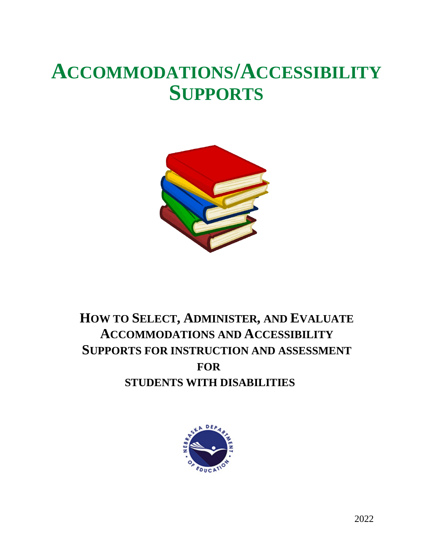# **ACCOMMODATIONS/ACCESSIBILITY SUPPORTS**



# **HOW TO SELECT, ADMINISTER, AND EVALUATE ACCOMMODATIONS AND ACCESSIBILITY SUPPORTS FOR INSTRUCTION AND ASSESSMENT FOR STUDENTS WITH DISABILITIES**

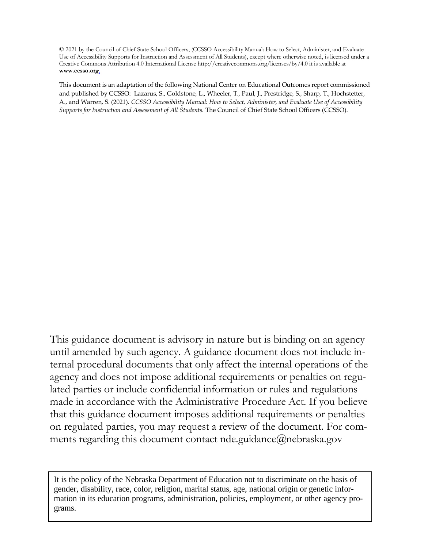© 2021 by the Council of Chief State School Officers, (CCSSO Accessibility Manual: How to Select, Administer, and Evaluate Use of Accessibility Supports for Instruction and Assessment of All Students), except where otherwise noted, is licensed under a Creative Commons Attribution 4.0 International License http://creativecommons.org/licenses/by/4.0 it is available at **www.ccsso.org**.

This document is an adaptation of the following National Center on Educational Outcomes report commissioned and published by CCSSO: Lazarus, S., Goldstone, L., Wheeler, T., Paul, J., Prestridge, S., Sharp, T., Hochstetter, A., and Warren, S. (2021). *CCSSO Accessibility Manual: How to Select, Administer, and Evaluate Use of Accessibility Supports for Instruction and Assessment of All Students*. The Council of Chief State School Officers (CCSSO).

This guidance document is advisory in nature but is binding on an agency until amended by such agency. A guidance document does not include internal procedural documents that only affect the internal operations of the agency and does not impose additional requirements or penalties on regulated parties or include confidential information or rules and regulations made in accordance with the Administrative Procedure Act. If you believe that this guidance document imposes additional requirements or penalties on regulated parties, you may request a review of the document. For comments regarding this document contact nde.guidance@nebraska.gov

It is the policy of the Nebraska Department of Education not to discriminate on the basis of gender, disability, race, color, religion, marital status, age, national origin or genetic information in its education programs, administration, policies, employment, or other agency programs.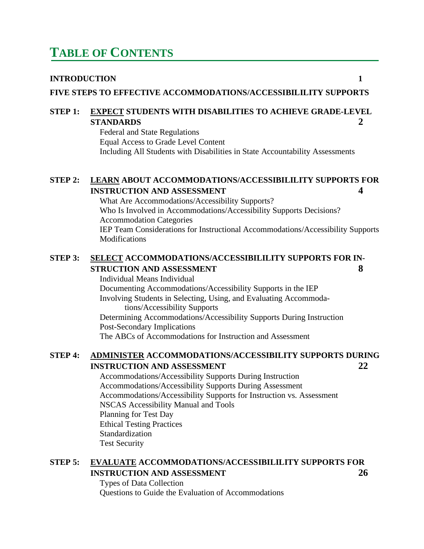# **TABLE OF CONTENTS**

#### **INTRODUCTION 1**

**FIVE STEPS TO EFFECTIVE ACCOMMODATIONS/ACCESSIBILILITY SUPPORTS**

#### **STEP 1: EXPECT STUDENTS WITH DISABILITIES TO ACHIEVE GRADE-LEVEL STANDARDS 2**

Federal and State Regulations Equal Access to Grade Level Content Including All Students with Disabilities in State Accountability Assessments

#### **STEP 2: LEARN ABOUT ACCOMMODATIONS/ACCESSIBILILITY SUPPORTS FOR INSTRUCTION AND ASSESSMENT 4**

What Are Accommodations/Accessibility Supports? Who Is Involved in Accommodations/Accessibility Supports Decisions? Accommodation Categories IEP Team Considerations for Instructional Accommodations/Accessibility Supports Modifications

#### **STEP 3: SELECT ACCOMMODATIONS/ACCESSIBILILITY SUPPORTS FOR IN-STRUCTION AND ASSESSMENT 8**

Individual Means Individual Documenting Accommodations/Accessibility Supports in the IEP Involving Students in Selecting, Using, and Evaluating Accommodations/Accessibility Supports Determining Accommodations/Accessibility Supports During Instruction Post-Secondary Implications

The ABCs of Accommodations for Instruction and Assessment

#### **STEP 4: ADMINISTER ACCOMMODATIONS/ACCESSIBILITY SUPPORTS DURING INSTRUCTION AND ASSESSMENT 22**

Accommodations/Accessibility Supports During Instruction Accommodations/Accessibility Supports During Assessment Accommodations/Accessibility Supports for Instruction vs. Assessment NSCAS Accessibility Manual and Tools Planning for Test Day Ethical Testing Practices Standardization Test Security

### **STEP 5: EVALUATE ACCOMMODATIONS/ACCESSIBILILITY SUPPORTS FOR INSTRUCTION AND ASSESSMENT 26**

Types of Data Collection Questions to Guide the Evaluation of Accommodations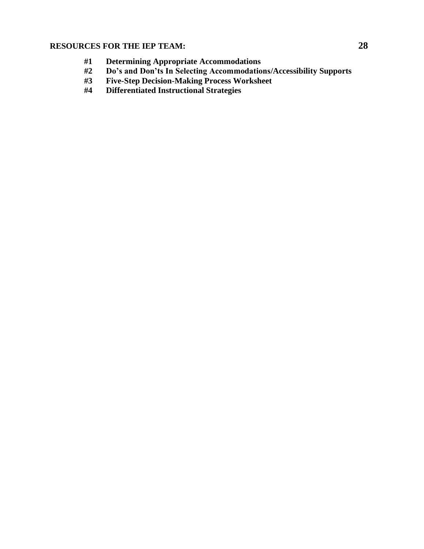### **RESOURCES FOR THE IEP TEAM: 28**

- **#1 Determining Appropriate Accommodations**
- **#2 Do's and Don'ts In Selecting Accommodations/Accessibility Supports**
- **#3 Five-Step Decision-Making Process Worksheet**
- **#4 Differentiated Instructional Strategies**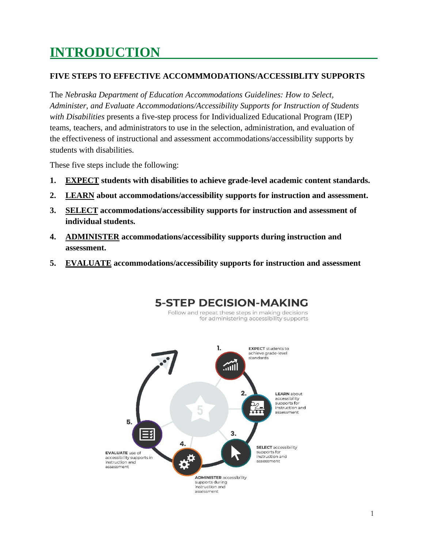# **INTRODUCTION**

#### **FIVE STEPS TO EFFECTIVE ACCOMMMODATIONS/ACCESSIBLITY SUPPORTS**

The *Nebraska Department of Education Accommodations Guidelines: How to Select, Administer, and Evaluate Accommodations/Accessibility Supports for Instruction of Students with Disabilities* presents a five-step process for Individualized Educational Program (IEP) teams, teachers, and administrators to use in the selection, administration, and evaluation of the effectiveness of instructional and assessment accommodations/accessibility supports by students with disabilities.

These five steps include the following:

- **1. EXPECT students with disabilities to achieve grade-level academic content standards.**
- **2. LEARN about accommodations/accessibility supports for instruction and assessment.**
- **3. SELECT accommodations/accessibility supports for instruction and assessment of individual students.**
- **4. ADMINISTER accommodations/accessibility supports during instruction and assessment.**
- **5. EVALUATE accommodations/accessibility supports for instruction and assessment**

**5-STEP DECISION-MAKING** Follow and repeat these steps in making decisions

for administering accessibility supports

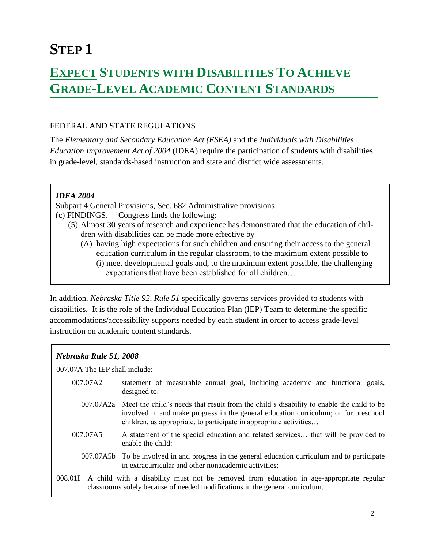# **STEP 1**

# **EXPECT STUDENTS WITH DISABILITIES TO ACHIEVE GRADE-LEVEL ACADEMIC CONTENT STANDARDS**

#### FEDERAL AND STATE REGULATIONS

The *Elementary and Secondary Education Act (ESEA)* and the *Individuals with Disabilities Education Improvement Act of 2004* (IDEA) require the participation of students with disabilities in grade-level, standards-based instruction and state and district wide assessments.

#### *IDEA 2004*

Subpart 4 General Provisions, Sec. 682 Administrative provisions (c) FINDINGS. —Congress finds the following:

- (5) Almost 30 years of research and experience has demonstrated that the education of children with disabilities can be made more effective by—
	- (A) having high expectations for such children and ensuring their access to the general education curriculum in the regular classroom, to the maximum extent possible to  $-$ 
		- (i) meet developmental goals and, to the maximum extent possible, the challenging expectations that have been established for all children…

In addition, *Nebraska Title 92, Rule 51* specifically governs services provided to students with disabilities. It is the role of the Individual Education Plan (IEP) Team to determine the specific accommodations/accessibility supports needed by each student in order to access grade-level instruction on academic content standards.

#### *Nebraska Rule 51, 2008*

007.07A The IEP shall include:

- 007.07A2 statement of measurable annual goal, including academic and functional goals, designed to:
	- 007.07A2a Meet the child's needs that result from the child's disability to enable the child to be involved in and make progress in the general education curriculum; or for preschool children, as appropriate, to participate in appropriate activities…
- 007.07A5 A statement of the special education and related services… that will be provided to enable the child:
- 007.07A5b To be involved in and progress in the general education curriculum and to participate in extracurricular and other nonacademic activities;
- 008.01I A child with a disability must not be removed from education in age-appropriate regular classrooms solely because of needed modifications in the general curriculum.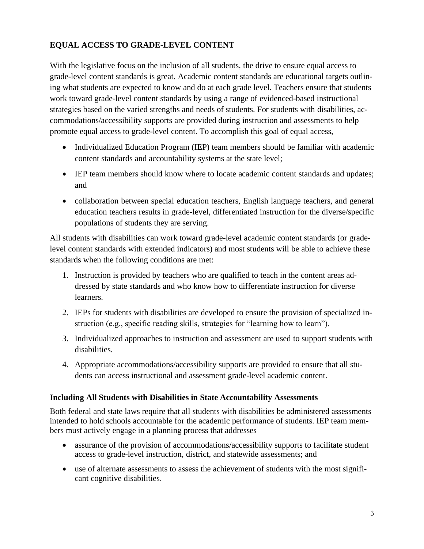### **EQUAL ACCESS TO GRADE-LEVEL CONTENT**

With the legislative focus on the inclusion of all students, the drive to ensure equal access to grade-level content standards is great. Academic content standards are educational targets outlining what students are expected to know and do at each grade level. Teachers ensure that students work toward grade-level content standards by using a range of evidenced-based instructional strategies based on the varied strengths and needs of students. For students with disabilities, accommodations/accessibility supports are provided during instruction and assessments to help promote equal access to grade-level content. To accomplish this goal of equal access,

- Individualized Education Program (IEP) team members should be familiar with academic content standards and accountability systems at the state level;
- IEP team members should know where to locate academic content standards and updates; and
- collaboration between special education teachers, English language teachers, and general education teachers results in grade-level, differentiated instruction for the diverse/specific populations of students they are serving.

All students with disabilities can work toward grade-level academic content standards (or gradelevel content standards with extended indicators) and most students will be able to achieve these standards when the following conditions are met:

- 1. Instruction is provided by teachers who are qualified to teach in the content areas addressed by state standards and who know how to differentiate instruction for diverse learners.
- 2. IEPs for students with disabilities are developed to ensure the provision of specialized instruction (e.g., specific reading skills, strategies for "learning how to learn").
- 3. Individualized approaches to instruction and assessment are used to support students with disabilities.
- 4. Appropriate accommodations/accessibility supports are provided to ensure that all students can access instructional and assessment grade-level academic content.

#### **Including All Students with Disabilities in State Accountability Assessments**

Both federal and state laws require that all students with disabilities be administered assessments intended to hold schools accountable for the academic performance of students. IEP team members must actively engage in a planning process that addresses

- assurance of the provision of accommodations/accessibility supports to facilitate student access to grade-level instruction, district, and statewide assessments; and
- use of alternate assessments to assess the achievement of students with the most significant cognitive disabilities.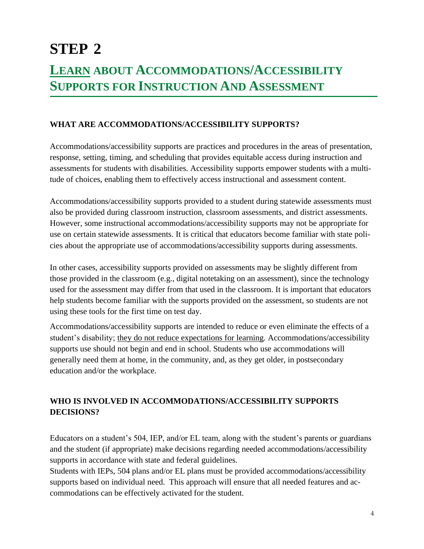# **STEP 2 LEARN ABOUT ACCOMMODATIONS/ACCESSIBILITY SUPPORTS FOR INSTRUCTION AND ASSESSMENT**

#### **WHAT ARE ACCOMMODATIONS/ACCESSIBILITY SUPPORTS?**

Accommodations/accessibility supports are practices and procedures in the areas of presentation, response, setting, timing, and scheduling that provides equitable access during instruction and assessments for students with disabilities. Accessibility supports empower students with a multitude of choices, enabling them to effectively access instructional and assessment content.

Accommodations/accessibility supports provided to a student during statewide assessments must also be provided during classroom instruction, classroom assessments, and district assessments. However, some instructional accommodations/accessibility supports may not be appropriate for use on certain statewide assessments. It is critical that educators become familiar with state policies about the appropriate use of accommodations/accessibility supports during assessments.

In other cases, accessibility supports provided on assessments may be slightly different from those provided in the classroom (e.g., digital notetaking on an assessment), since the technology used for the assessment may differ from that used in the classroom. It is important that educators help students become familiar with the supports provided on the assessment, so students are not using these tools for the first time on test day.

Accommodations/accessibility supports are intended to reduce or even eliminate the effects of a student's disability; they do not reduce expectations for learning. Accommodations/accessibility supports use should not begin and end in school. Students who use accommodations will generally need them at home, in the community, and, as they get older, in postsecondary education and/or the workplace.

## **WHO IS INVOLVED IN ACCOMMODATIONS/ACCESSIBILITY SUPPORTS DECISIONS?**

Educators on a student's 504, IEP, and/or EL team, along with the student's parents or guardians and the student (if appropriate) make decisions regarding needed accommodations/accessibility supports in accordance with state and federal guidelines.

Students with IEPs, 504 plans and/or EL plans must be provided accommodations/accessibility supports based on individual need. This approach will ensure that all needed features and accommodations can be effectively activated for the student.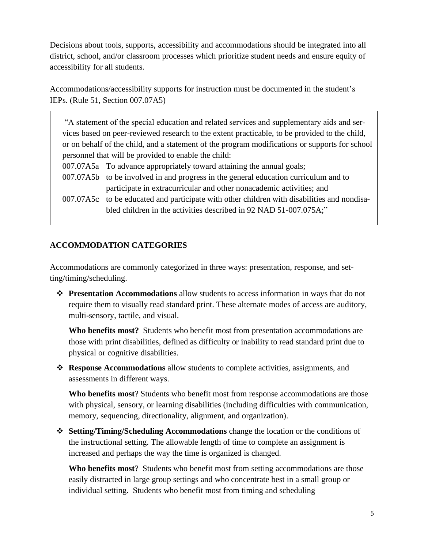Decisions about tools, supports, accessibility and accommodations should be integrated into all district, school, and/or classroom processes which prioritize student needs and ensure equity of accessibility for all students.

Accommodations/accessibility supports for instruction must be documented in the student's IEPs. (Rule 51, Section 007.07A5)

"A statement of the special education and related services and supplementary aids and services based on peer-reviewed research to the extent practicable, to be provided to the child, or on behalf of the child, and a statement of the program modifications or supports for school personnel that will be provided to enable the child:

- 007.07A5a To advance appropriately toward attaining the annual goals;
- 007.07A5b to be involved in and progress in the general education curriculum and to participate in extracurricular and other nonacademic activities; and
- 007.07A5c to be educated and participate with other children with disabilities and nondisabled children in the activities described in 92 NAD 51-007.075A;"

#### **ACCOMMODATION CATEGORIES**

Accommodations are commonly categorized in three ways: presentation, response, and setting/timing/scheduling.

❖ **Presentation Accommodations** allow students to access information in ways that do not require them to visually read standard print. These alternate modes of access are auditory, multi-sensory, tactile, and visual.

**Who benefits most?** Students who benefit most from presentation accommodations are those with print disabilities, defined as difficulty or inability to read standard print due to physical or cognitive disabilities.

❖ **Response Accommodations** allow students to complete activities, assignments, and assessments in different ways.

**Who benefits most**? Students who benefit most from response accommodations are those with physical, sensory, or learning disabilities (including difficulties with communication, memory, sequencing, directionality, alignment, and organization).

❖ **Setting/Timing/Scheduling Accommodations** change the location or the conditions of the instructional setting. The allowable length of time to complete an assignment is increased and perhaps the way the time is organized is changed.

**Who benefits most**? Students who benefit most from setting accommodations are those easily distracted in large group settings and who concentrate best in a small group or individual setting. Students who benefit most from timing and scheduling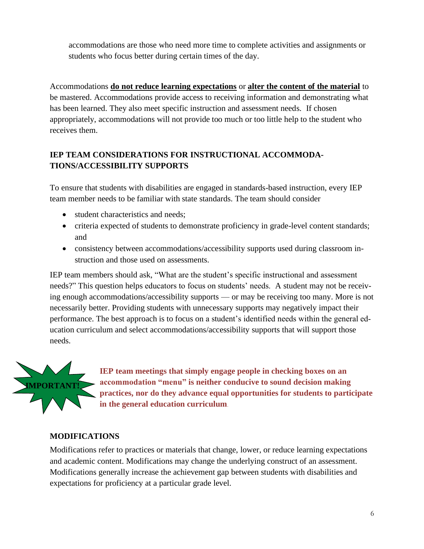accommodations are those who need more time to complete activities and assignments or students who focus better during certain times of the day.

Accommodations **do not reduce learning expectations** or **alter the content of the material** to be mastered. Accommodations provide access to receiving information and demonstrating what has been learned. They also meet specific instruction and assessment needs. If chosen appropriately, accommodations will not provide too much or too little help to the student who receives them.

## **IEP TEAM CONSIDERATIONS FOR INSTRUCTIONAL ACCOMMODA-TIONS/ACCESSIBILITY SUPPORTS**

To ensure that students with disabilities are engaged in standards-based instruction, every IEP team member needs to be familiar with state standards. The team should consider

- student characteristics and needs;
- criteria expected of students to demonstrate proficiency in grade-level content standards; and
- consistency between accommodations/accessibility supports used during classroom instruction and those used on assessments.

IEP team members should ask, "What are the student's specific instructional and assessment needs?" This question helps educators to focus on students' needs. A student may not be receiving enough accommodations/accessibility supports — or may be receiving too many. More is not necessarily better. Providing students with unnecessary supports may negatively impact their performance. The best approach is to focus on a student's identified needs within the general education curriculum and select accommodations/accessibility supports that will support those needs.



**IEP team meetings that simply engage people in checking boxes on an accommodation "menu" is neither conducive to sound decision making practices, nor do they advance equal opportunities for students to participate in the general education curriculum**.

### **MODIFICATIONS**

Modifications refer to practices or materials that change, lower, or reduce learning expectations and academic content. Modifications may change the underlying construct of an assessment. Modifications generally increase the achievement gap between students with disabilities and expectations for proficiency at a particular grade level.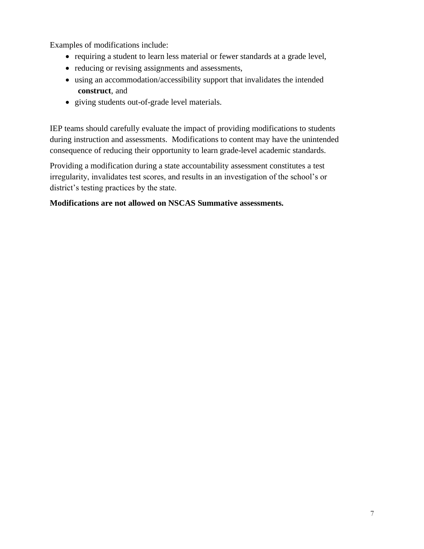Examples of modifications include:

- requiring a student to learn less material or fewer standards at a grade level,
- reducing or revising assignments and assessments,
- using an accommodation/accessibility support that invalidates the intended **construct**, and
- giving students out-of-grade level materials.

IEP teams should carefully evaluate the impact of providing modifications to students during instruction and assessments. Modifications to content may have the unintended consequence of reducing their opportunity to learn grade-level academic standards.

Providing a modification during a state accountability assessment constitutes a test irregularity, invalidates test scores, and results in an investigation of the school's or district's testing practices by the state.

#### **Modifications are not allowed on NSCAS Summative assessments.**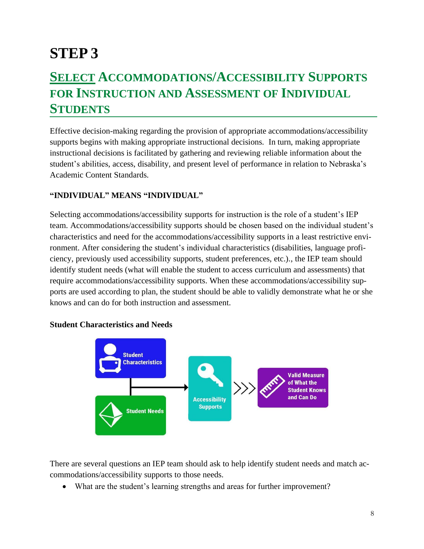# **STEP 3**

# **SELECT ACCOMMODATIONS/ACCESSIBILITY SUPPORTS FOR INSTRUCTION AND ASSESSMENT OF INDIVIDUAL STUDENTS**

Effective decision-making regarding the provision of appropriate accommodations/accessibility supports begins with making appropriate instructional decisions. In turn, making appropriate instructional decisions is facilitated by gathering and reviewing reliable information about the student's abilities, access, disability, and present level of performance in relation to Nebraska's Academic Content Standards.

#### **"INDIVIDUAL" MEANS "INDIVIDUAL"**

Selecting accommodations/accessibility supports for instruction is the role of a student's IEP team. Accommodations/accessibility supports should be chosen based on the individual student's characteristics and need for the accommodations/accessibility supports in a least restrictive environment. After considering the student's individual characteristics (disabilities, language proficiency, previously used accessibility supports, student preferences, etc.)., the IEP team should identify student needs (what will enable the student to access curriculum and assessments) that require accommodations/accessibility supports. When these accommodations/accessibility supports are used according to plan, the student should be able to validly demonstrate what he or she knows and can do for both instruction and assessment.

#### **Student Characteristics and Needs**



There are several questions an IEP team should ask to help identify student needs and match accommodations/accessibility supports to those needs.

• What are the student's learning strengths and areas for further improvement?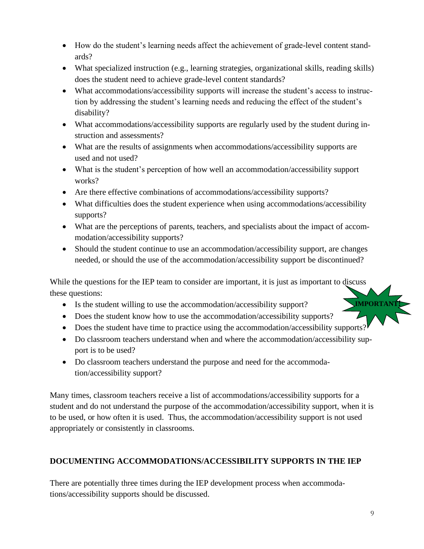- How do the student's learning needs affect the achievement of grade-level content standards?
- What specialized instruction (e.g., learning strategies, organizational skills, reading skills) does the student need to achieve grade-level content standards?
- What accommodations/accessibility supports will increase the student's access to instruction by addressing the student's learning needs and reducing the effect of the student's disability?
- What accommodations/accessibility supports are regularly used by the student during instruction and assessments?
- What are the results of assignments when accommodations/accessibility supports are used and not used?
- What is the student's perception of how well an accommodation/accessibility support works?
- Are there effective combinations of accommodations/accessibility supports?
- What difficulties does the student experience when using accommodations/accessibility supports?
- What are the perceptions of parents, teachers, and specialists about the impact of accommodation/accessibility supports?
- Should the student continue to use an accommodation/accessibility support, are changes needed, or should the use of the accommodation/accessibility support be discontinued?

While the questions for the IEP team to consider are important, it is just as important to discuss these questions:

- Is the student willing to use the accommodation/accessibility support?
- Does the student know how to use the accommodation/accessibility supports?
- Does the student have time to practice using the accommodation/accessibility supports?
- Do classroom teachers understand when and where the accommodation/accessibility support is to be used?
- Do classroom teachers understand the purpose and need for the accommodation/accessibility support?

Many times, classroom teachers receive a list of accommodations/accessibility supports for a student and do not understand the purpose of the accommodation/accessibility support, when it is to be used, or how often it is used. Thus, the accommodation/accessibility support is not used appropriately or consistently in classrooms.

## **DOCUMENTING ACCOMMODATIONS/ACCESSIBILITY SUPPORTS IN THE IEP**

There are potentially three times during the IEP development process when accommodations/accessibility supports should be discussed.

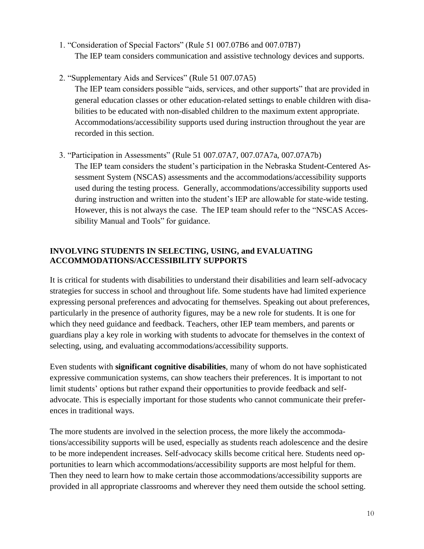- 1. "Consideration of Special Factors" (Rule 51 007.07B6 and 007.07B7) The IEP team considers communication and assistive technology devices and supports.
- 2. "Supplementary Aids and Services" (Rule 51 007.07A5) The IEP team considers possible "aids, services, and other supports" that are provided in general education classes or other education-related settings to enable children with disabilities to be educated with non-disabled children to the maximum extent appropriate. Accommodations/accessibility supports used during instruction throughout the year are recorded in this section.
- 3. "Participation in Assessments" (Rule 51 007.07A7, 007.07A7a, 007.07A7b) The IEP team considers the student's participation in the Nebraska Student-Centered Assessment System (NSCAS) assessments and the accommodations/accessibility supports used during the testing process. Generally, accommodations/accessibility supports used during instruction and written into the student's IEP are allowable for state-wide testing. However, this is not always the case. The IEP team should refer to the "NSCAS Accessibility Manual and Tools" for guidance.

#### **INVOLVING STUDENTS IN SELECTING, USING, and EVALUATING ACCOMMODATIONS/ACCESSIBILITY SUPPORTS**

It is critical for students with disabilities to understand their disabilities and learn self-advocacy strategies for success in school and throughout life. Some students have had limited experience expressing personal preferences and advocating for themselves. Speaking out about preferences, particularly in the presence of authority figures, may be a new role for students. It is one for which they need guidance and feedback. Teachers, other IEP team members, and parents or guardians play a key role in working with students to advocate for themselves in the context of selecting, using, and evaluating accommodations/accessibility supports.

Even students with **significant cognitive disabilities**, many of whom do not have sophisticated expressive communication systems, can show teachers their preferences. It is important to not limit students' options but rather expand their opportunities to provide feedback and selfadvocate. This is especially important for those students who cannot communicate their preferences in traditional ways.

The more students are involved in the selection process, the more likely the accommodations/accessibility supports will be used, especially as students reach adolescence and the desire to be more independent increases. Self-advocacy skills become critical here. Students need opportunities to learn which accommodations/accessibility supports are most helpful for them. Then they need to learn how to make certain those accommodations/accessibility supports are provided in all appropriate classrooms and wherever they need them outside the school setting.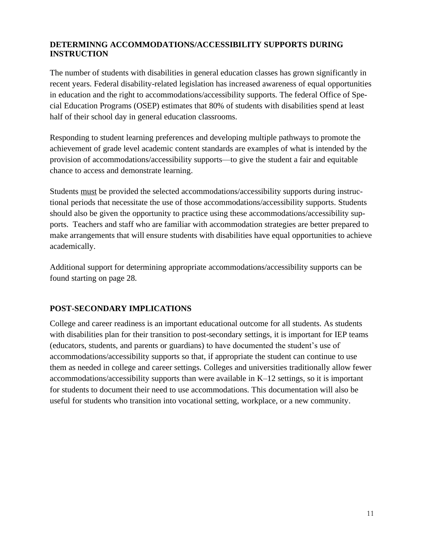#### **DETERMINNG ACCOMMODATIONS/ACCESSIBILITY SUPPORTS DURING INSTRUCTION**

The number of students with disabilities in general education classes has grown significantly in recent years. Federal disability-related legislation has increased awareness of equal opportunities in education and the right to accommodations/accessibility supports. The federal Office of Special Education Programs (OSEP) estimates that 80% of students with disabilities spend at least half of their school day in general education classrooms.

Responding to student learning preferences and developing multiple pathways to promote the achievement of grade level academic content standards are examples of what is intended by the provision of accommodations/accessibility supports—to give the student a fair and equitable chance to access and demonstrate learning.

Students must be provided the selected accommodations/accessibility supports during instructional periods that necessitate the use of those accommodations/accessibility supports. Students should also be given the opportunity to practice using these accommodations/accessibility supports. Teachers and staff who are familiar with accommodation strategies are better prepared to make arrangements that will ensure students with disabilities have equal opportunities to achieve academically.

Additional support for determining appropriate accommodations/accessibility supports can be found starting on page 28.

#### **POST-SECONDARY IMPLICATIONS**

College and career readiness is an important educational outcome for all students. As students with disabilities plan for their transition to post-secondary settings, it is important for IEP teams (educators, students, and parents or guardians) to have documented the student's use of accommodations/accessibility supports so that, if appropriate the student can continue to use them as needed in college and career settings. Colleges and universities traditionally allow fewer accommodations/accessibility supports than were available in K–12 settings, so it is important for students to document their need to use accommodations. This documentation will also be useful for students who transition into vocational setting, workplace, or a new community.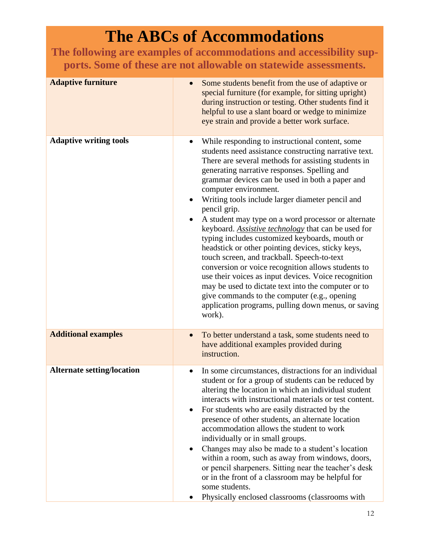# **The ABCs of Accommodations**

**The following are examples of accommodations and accessibility supports. Some of these are not allowable on statewide assessments.**

| <b>Adaptive furniture</b>         | Some students benefit from the use of adaptive or<br>$\bullet$<br>special furniture (for example, for sitting upright)<br>during instruction or testing. Other students find it<br>helpful to use a slant board or wedge to minimize<br>eye strain and provide a better work surface.                                                                                                                                                                                                                                                                                                                                                                                                                                                                                                                                                                                                                                     |
|-----------------------------------|---------------------------------------------------------------------------------------------------------------------------------------------------------------------------------------------------------------------------------------------------------------------------------------------------------------------------------------------------------------------------------------------------------------------------------------------------------------------------------------------------------------------------------------------------------------------------------------------------------------------------------------------------------------------------------------------------------------------------------------------------------------------------------------------------------------------------------------------------------------------------------------------------------------------------|
| <b>Adaptive writing tools</b>     | While responding to instructional content, some<br>students need assistance constructing narrative text.<br>There are several methods for assisting students in<br>generating narrative responses. Spelling and<br>grammar devices can be used in both a paper and<br>computer environment.<br>Writing tools include larger diameter pencil and<br>pencil grip.<br>A student may type on a word processor or alternate<br>keyboard. Assistive technology that can be used for<br>typing includes customized keyboards, mouth or<br>headstick or other pointing devices, sticky keys,<br>touch screen, and trackball. Speech-to-text<br>conversion or voice recognition allows students to<br>use their voices as input devices. Voice recognition<br>may be used to dictate text into the computer or to<br>give commands to the computer (e.g., opening<br>application programs, pulling down menus, or saving<br>work). |
| <b>Additional examples</b>        | To better understand a task, some students need to<br>have additional examples provided during<br>instruction.                                                                                                                                                                                                                                                                                                                                                                                                                                                                                                                                                                                                                                                                                                                                                                                                            |
| <b>Alternate setting/location</b> | In some circumstances, distractions for an individual<br>$\bullet$<br>student or for a group of students can be reduced by<br>altering the location in which an individual student<br>interacts with instructional materials or test content.<br>For students who are easily distracted by the<br>presence of other students, an alternate location<br>accommodation allows the student to work<br>individually or in small groups.<br>Changes may also be made to a student's location<br>within a room, such as away from windows, doors,<br>or pencil sharpeners. Sitting near the teacher's desk<br>or in the front of a classroom may be helpful for<br>some students.<br>Physically enclosed classrooms (classrooms with                                                                                                                                                                                            |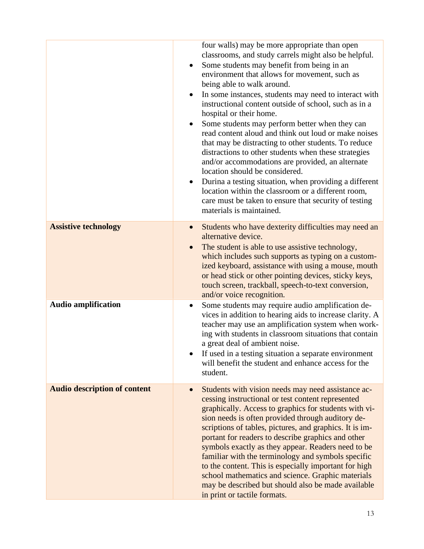|                                     | four walls) may be more appropriate than open<br>classrooms, and study carrels might also be helpful.<br>Some students may benefit from being in an<br>environment that allows for movement, such as<br>being able to walk around.<br>In some instances, students may need to interact with<br>$\bullet$<br>instructional content outside of school, such as in a<br>hospital or their home.<br>Some students may perform better when they can<br>read content aloud and think out loud or make noises<br>that may be distracting to other students. To reduce<br>distractions to other students when these strategies<br>and/or accommodations are provided, an alternate<br>location should be considered.<br>Durina a testing situation, when providing a different<br>$\bullet$<br>location within the classroom or a different room,<br>care must be taken to ensure that security of testing<br>materials is maintained. |
|-------------------------------------|--------------------------------------------------------------------------------------------------------------------------------------------------------------------------------------------------------------------------------------------------------------------------------------------------------------------------------------------------------------------------------------------------------------------------------------------------------------------------------------------------------------------------------------------------------------------------------------------------------------------------------------------------------------------------------------------------------------------------------------------------------------------------------------------------------------------------------------------------------------------------------------------------------------------------------|
| <b>Assistive technology</b>         | Students who have dexterity difficulties may need an<br>$\bullet$<br>alternative device.<br>The student is able to use assistive technology,<br>which includes such supports as typing on a custom-                                                                                                                                                                                                                                                                                                                                                                                                                                                                                                                                                                                                                                                                                                                            |
|                                     | ized keyboard, assistance with using a mouse, mouth<br>or head stick or other pointing devices, sticky keys,<br>touch screen, trackball, speech-to-text conversion,<br>and/or voice recognition.                                                                                                                                                                                                                                                                                                                                                                                                                                                                                                                                                                                                                                                                                                                               |
| <b>Audio amplification</b>          | Some students may require audio amplification de-<br>$\bullet$<br>vices in addition to hearing aids to increase clarity. A<br>teacher may use an amplification system when work-<br>ing with students in classroom situations that contain<br>a great deal of ambient noise.<br>If used in a testing situation a separate environment<br>will benefit the student and enhance access for the<br>student.                                                                                                                                                                                                                                                                                                                                                                                                                                                                                                                       |
| <b>Audio description of content</b> | Students with vision needs may need assistance ac-<br>$\bullet$<br>cessing instructional or test content represented<br>graphically. Access to graphics for students with vi-<br>sion needs is often provided through auditory de-<br>scriptions of tables, pictures, and graphics. It is im-<br>portant for readers to describe graphics and other<br>symbols exactly as they appear. Readers need to be<br>familiar with the terminology and symbols specific<br>to the content. This is especially important for high<br>school mathematics and science. Graphic materials<br>may be described but should also be made available<br>in print or tactile formats.                                                                                                                                                                                                                                                            |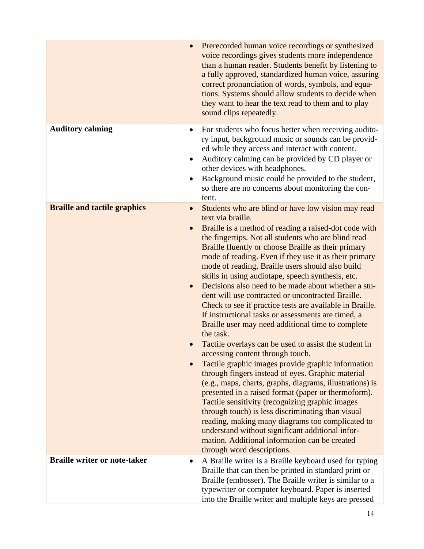|                                     | $\bullet$                           | Prerecorded human voice recordings or synthesized<br>voice recordings gives students more independence<br>than a human reader. Students benefit by listening to<br>a fully approved, standardized human voice, assuring<br>correct pronunciation of words, symbols, and equa-<br>tions. Systems should allow students to decide when<br>they want to hear the text read to them and to play<br>sound clips repeatedly.                                                                                                                                                                                                                                                                                                                                                                                                                                                                                                                                                                                                                                                                                                                                                                                                                                                                                                                     |
|-------------------------------------|-------------------------------------|--------------------------------------------------------------------------------------------------------------------------------------------------------------------------------------------------------------------------------------------------------------------------------------------------------------------------------------------------------------------------------------------------------------------------------------------------------------------------------------------------------------------------------------------------------------------------------------------------------------------------------------------------------------------------------------------------------------------------------------------------------------------------------------------------------------------------------------------------------------------------------------------------------------------------------------------------------------------------------------------------------------------------------------------------------------------------------------------------------------------------------------------------------------------------------------------------------------------------------------------------------------------------------------------------------------------------------------------|
| <b>Auditory calming</b>             | $\bullet$                           | For students who focus better when receiving audito-<br>ry input, background music or sounds can be provid-<br>ed while they access and interact with content.<br>Auditory calming can be provided by CD player or<br>other devices with headphones.<br>Background music could be provided to the student,<br>so there are no concerns about monitoring the con-<br>tent.                                                                                                                                                                                                                                                                                                                                                                                                                                                                                                                                                                                                                                                                                                                                                                                                                                                                                                                                                                  |
| <b>Braille and tactile graphics</b> | $\bullet$<br>$\bullet$<br>$\bullet$ | Students who are blind or have low vision may read<br>text via braille.<br>Braille is a method of reading a raised-dot code with<br>the fingertips. Not all students who are blind read<br>Braille fluently or choose Braille as their primary<br>mode of reading. Even if they use it as their primary<br>mode of reading, Braille users should also build<br>skills in using audiotape, speech synthesis, etc.<br>Decisions also need to be made about whether a stu-<br>dent will use contracted or uncontracted Braille.<br>Check to see if practice tests are available in Braille.<br>If instructional tasks or assessments are timed, a<br>Braille user may need additional time to complete<br>the task.<br>Tactile overlays can be used to assist the student in<br>accessing content through touch.<br>Tactile graphic images provide graphic information<br>through fingers instead of eyes. Graphic material<br>(e.g., maps, charts, graphs, diagrams, illustrations) is<br>presented in a raised format (paper or thermoform).<br>Tactile sensitivity (recognizing graphic images<br>through touch) is less discriminating than visual<br>reading, making many diagrams too complicated to<br>understand without significant additional infor-<br>mation. Additional information can be created<br>through word descriptions. |
| <b>Braille writer or note-taker</b> | $\bullet$                           | A Braille writer is a Braille keyboard used for typing<br>Braille that can then be printed in standard print or<br>Braille (embosser). The Braille writer is similar to a<br>typewriter or computer keyboard. Paper is inserted<br>into the Braille writer and multiple keys are pressed                                                                                                                                                                                                                                                                                                                                                                                                                                                                                                                                                                                                                                                                                                                                                                                                                                                                                                                                                                                                                                                   |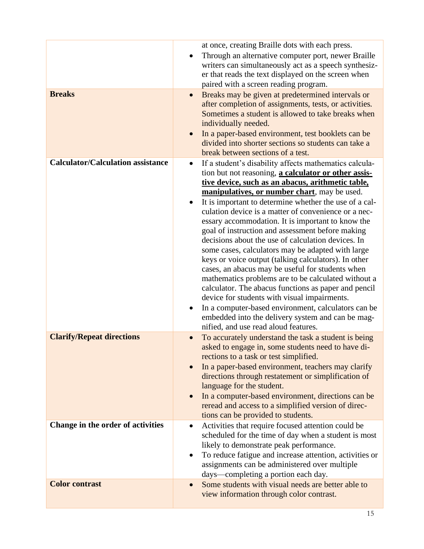|                                                                       | at once, creating Braille dots with each press.<br>Through an alternative computer port, newer Braille<br>writers can simultaneously act as a speech synthesiz-<br>er that reads the text displayed on the screen when<br>paired with a screen reading program.                                                                                                                                                                                                                                                                                                                                                                                                                                                                                                                                                                                                                                                                                                                                                 |
|-----------------------------------------------------------------------|-----------------------------------------------------------------------------------------------------------------------------------------------------------------------------------------------------------------------------------------------------------------------------------------------------------------------------------------------------------------------------------------------------------------------------------------------------------------------------------------------------------------------------------------------------------------------------------------------------------------------------------------------------------------------------------------------------------------------------------------------------------------------------------------------------------------------------------------------------------------------------------------------------------------------------------------------------------------------------------------------------------------|
| <b>Breaks</b>                                                         | Breaks may be given at predetermined intervals or<br>$\bullet$<br>after completion of assignments, tests, or activities.<br>Sometimes a student is allowed to take breaks when<br>individually needed.<br>In a paper-based environment, test booklets can be<br>divided into shorter sections so students can take a<br>break between sections of a test.                                                                                                                                                                                                                                                                                                                                                                                                                                                                                                                                                                                                                                                       |
| <b>Calculator/Calculation assistance</b>                              | If a student's disability affects mathematics calcula-<br>٠<br>tion but not reasoning, a calculator or other assis-<br>tive device, such as an abacus, arithmetic table,<br>manipulatives, or number chart, may be used.<br>It is important to determine whether the use of a cal-<br>$\bullet$<br>culation device is a matter of convenience or a nec-<br>essary accommodation. It is important to know the<br>goal of instruction and assessment before making<br>decisions about the use of calculation devices. In<br>some cases, calculators may be adapted with large<br>keys or voice output (talking calculators). In other<br>cases, an abacus may be useful for students when<br>mathematics problems are to be calculated without a<br>calculator. The abacus functions as paper and pencil<br>device for students with visual impairments.<br>In a computer-based environment, calculators can be<br>٠<br>embedded into the delivery system and can be mag-<br>nified, and use read aloud features. |
| <b>Clarify/Repeat directions</b><br>Change in the order of activities | To accurately understand the task a student is being<br>asked to engage in, some students need to have di-<br>rections to a task or test simplified.<br>In a paper-based environment, teachers may clarify<br>directions through restatement or simplification of<br>language for the student.<br>In a computer-based environment, directions can be<br>$\bullet$<br>reread and access to a simplified version of direc-<br>tions can be provided to students.<br>Activities that require focused attention could be<br>scheduled for the time of day when a student is most                                                                                                                                                                                                                                                                                                                                                                                                                                    |
|                                                                       | likely to demonstrate peak performance.<br>To reduce fatigue and increase attention, activities or<br>assignments can be administered over multiple<br>days—completing a portion each day.                                                                                                                                                                                                                                                                                                                                                                                                                                                                                                                                                                                                                                                                                                                                                                                                                      |
| <b>Color contrast</b>                                                 | Some students with visual needs are better able to<br>$\bullet$<br>view information through color contrast.                                                                                                                                                                                                                                                                                                                                                                                                                                                                                                                                                                                                                                                                                                                                                                                                                                                                                                     |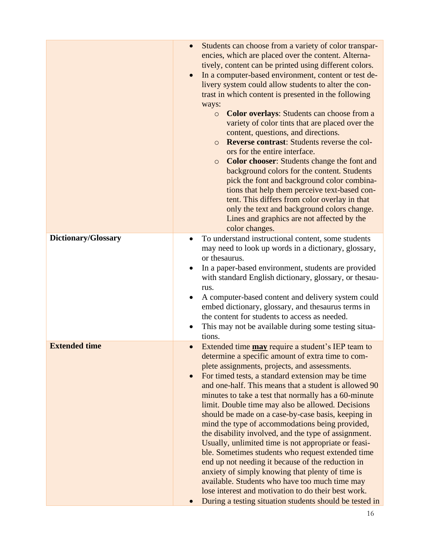|                      | Students can choose from a variety of color transpar-<br>encies, which are placed over the content. Alterna-<br>tively, content can be printed using different colors.<br>In a computer-based environment, content or test de-<br>$\bullet$<br>livery system could allow students to alter the con-<br>trast in which content is presented in the following<br>ways:<br><b>Color overlays:</b> Students can choose from a<br>$\circ$<br>variety of color tints that are placed over the<br>content, questions, and directions.<br><b>Reverse contrast:</b> Students reverse the col-<br>$\circ$<br>ors for the entire interface.<br><b>Color chooser:</b> Students change the font and<br>$\circ$<br>background colors for the content. Students<br>pick the font and background color combina-<br>tions that help them perceive text-based con-<br>tent. This differs from color overlay in that<br>only the text and background colors change.<br>Lines and graphics are not affected by the<br>color changes. |
|----------------------|------------------------------------------------------------------------------------------------------------------------------------------------------------------------------------------------------------------------------------------------------------------------------------------------------------------------------------------------------------------------------------------------------------------------------------------------------------------------------------------------------------------------------------------------------------------------------------------------------------------------------------------------------------------------------------------------------------------------------------------------------------------------------------------------------------------------------------------------------------------------------------------------------------------------------------------------------------------------------------------------------------------|
| Dictionary/Glossary  | To understand instructional content, some students<br>$\bullet$<br>may need to look up words in a dictionary, glossary,<br>or thesaurus.<br>In a paper-based environment, students are provided<br>with standard English dictionary, glossary, or thesau-<br>rus.<br>A computer-based content and delivery system could<br>embed dictionary, glossary, and the saurus terms in<br>the content for students to access as needed.<br>This may not be available during some testing situa-<br>tions.                                                                                                                                                                                                                                                                                                                                                                                                                                                                                                                |
| <b>Extended time</b> | Extended time <b>may</b> require a student's IEP team to<br>$\bullet$<br>determine a specific amount of extra time to com-<br>plete assignments, projects, and assessments.<br>For timed tests, a standard extension may be time<br>and one-half. This means that a student is allowed 90<br>minutes to take a test that normally has a 60-minute<br>limit. Double time may also be allowed. Decisions<br>should be made on a case-by-case basis, keeping in<br>mind the type of accommodations being provided,<br>the disability involved, and the type of assignment.<br>Usually, unlimited time is not appropriate or feasi-<br>ble. Sometimes students who request extended time<br>end up not needing it because of the reduction in<br>anxiety of simply knowing that plenty of time is<br>available. Students who have too much time may<br>lose interest and motivation to do their best work.<br>During a testing situation students should be tested in                                                |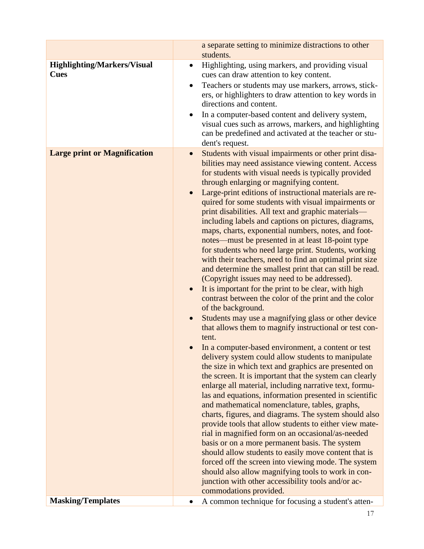| <b>Highlighting/Markers/Visual</b><br>Highlighting, using markers, and providing visual<br>$\bullet$<br><b>Cues</b><br>cues can draw attention to key content.<br>Teachers or students may use markers, arrows, stick-<br>ers, or highlighters to draw attention to key words in<br>directions and content.<br>In a computer-based content and delivery system,<br>visual cues such as arrows, markers, and highlighting<br>can be predefined and activated at the teacher or stu-<br>dent's request.<br><b>Large print or Magnification</b><br>Students with visual impairments or other print disa-<br>$\bullet$<br>bilities may need assistance viewing content. Access<br>for students with visual needs is typically provided<br>through enlarging or magnifying content.<br>Large-print editions of instructional materials are re-<br>quired for some students with visual impairments or<br>print disabilities. All text and graphic materials—<br>including labels and captions on pictures, diagrams,<br>maps, charts, exponential numbers, notes, and foot-<br>notes—must be presented in at least 18-point type<br>for students who need large print. Students, working<br>with their teachers, need to find an optimal print size<br>and determine the smallest print that can still be read.<br>(Copyright issues may need to be addressed).<br>It is important for the print to be clear, with high<br>contrast between the color of the print and the color<br>of the background.<br>Students may use a magnifying glass or other device<br>that allows them to magnify instructional or test con-<br>tent.<br>In a computer-based environment, a content or test<br>delivery system could allow students to manipulate<br>the size in which text and graphics are presented on<br>the screen. It is important that the system can clearly<br>enlarge all material, including narrative text, formu-<br>las and equations, information presented in scientific<br>and mathematical nomenclature, tables, graphs,<br>charts, figures, and diagrams. The system should also<br>provide tools that allow students to either view mate-<br>rial in magnified form on an occasional/as-needed<br>basis or on a more permanent basis. The system<br>should allow students to easily move content that is<br>forced off the screen into viewing mode. The system<br>should also allow magnifying tools to work in con-<br>junction with other accessibility tools and/or ac- | a separate setting to minimize distractions to other<br>students. |
|---------------------------------------------------------------------------------------------------------------------------------------------------------------------------------------------------------------------------------------------------------------------------------------------------------------------------------------------------------------------------------------------------------------------------------------------------------------------------------------------------------------------------------------------------------------------------------------------------------------------------------------------------------------------------------------------------------------------------------------------------------------------------------------------------------------------------------------------------------------------------------------------------------------------------------------------------------------------------------------------------------------------------------------------------------------------------------------------------------------------------------------------------------------------------------------------------------------------------------------------------------------------------------------------------------------------------------------------------------------------------------------------------------------------------------------------------------------------------------------------------------------------------------------------------------------------------------------------------------------------------------------------------------------------------------------------------------------------------------------------------------------------------------------------------------------------------------------------------------------------------------------------------------------------------------------------------------------------------------------------------------------------------------------------------------------------------------------------------------------------------------------------------------------------------------------------------------------------------------------------------------------------------------------------------------------------------------------------------------------------------------------------------------------------------------------------------------------------------------------|-------------------------------------------------------------------|
|                                                                                                                                                                                                                                                                                                                                                                                                                                                                                                                                                                                                                                                                                                                                                                                                                                                                                                                                                                                                                                                                                                                                                                                                                                                                                                                                                                                                                                                                                                                                                                                                                                                                                                                                                                                                                                                                                                                                                                                                                                                                                                                                                                                                                                                                                                                                                                                                                                                                                       |                                                                   |
| commodations provided.<br><b>Masking/Templates</b><br>A common technique for focusing a student's atten-                                                                                                                                                                                                                                                                                                                                                                                                                                                                                                                                                                                                                                                                                                                                                                                                                                                                                                                                                                                                                                                                                                                                                                                                                                                                                                                                                                                                                                                                                                                                                                                                                                                                                                                                                                                                                                                                                                                                                                                                                                                                                                                                                                                                                                                                                                                                                                              |                                                                   |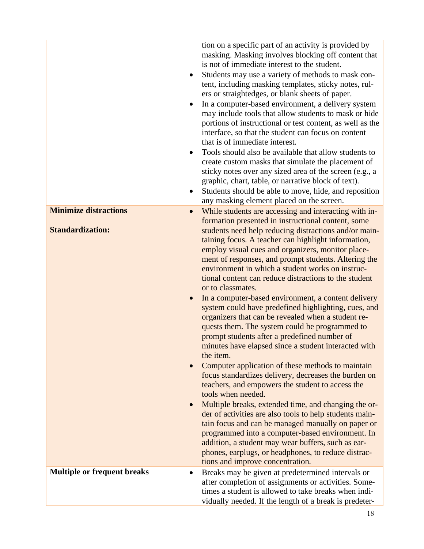|                                                         | tion on a specific part of an activity is provided by<br>masking. Masking involves blocking off content that<br>is not of immediate interest to the student.<br>Students may use a variety of methods to mask con-<br>$\bullet$<br>tent, including masking templates, sticky notes, rul-<br>ers or straightedges, or blank sheets of paper.<br>In a computer-based environment, a delivery system<br>$\bullet$<br>may include tools that allow students to mask or hide<br>portions of instructional or test content, as well as the<br>interface, so that the student can focus on content<br>that is of immediate interest.<br>Tools should also be available that allow students to<br>٠<br>create custom masks that simulate the placement of<br>sticky notes over any sized area of the screen (e.g., a<br>graphic, chart, table, or narrative block of text).<br>Students should be able to move, hide, and reposition<br>٠<br>any masking element placed on the screen.                                                                                                                                                                                                                                                                                                                                                                                                                                                     |
|---------------------------------------------------------|------------------------------------------------------------------------------------------------------------------------------------------------------------------------------------------------------------------------------------------------------------------------------------------------------------------------------------------------------------------------------------------------------------------------------------------------------------------------------------------------------------------------------------------------------------------------------------------------------------------------------------------------------------------------------------------------------------------------------------------------------------------------------------------------------------------------------------------------------------------------------------------------------------------------------------------------------------------------------------------------------------------------------------------------------------------------------------------------------------------------------------------------------------------------------------------------------------------------------------------------------------------------------------------------------------------------------------------------------------------------------------------------------------------------------------|
| <b>Minimize distractions</b><br><b>Standardization:</b> | While students are accessing and interacting with in-<br>$\bullet$<br>formation presented in instructional content, some<br>students need help reducing distractions and/or main-<br>taining focus. A teacher can highlight information,<br>employ visual cues and organizers, monitor place-<br>ment of responses, and prompt students. Altering the<br>environment in which a student works on instruc-<br>tional content can reduce distractions to the student<br>or to classmates.<br>In a computer-based environment, a content delivery<br>$\bullet$<br>system could have predefined highlighting, cues, and<br>organizers that can be revealed when a student re-<br>quests them. The system could be programmed to<br>prompt students after a predefined number of<br>minutes have elapsed since a student interacted with<br>the item.<br>Computer application of these methods to maintain<br>$\bullet$<br>focus standardizes delivery, decreases the burden on<br>teachers, and empowers the student to access the<br>tools when needed.<br>Multiple breaks, extended time, and changing the or-<br>der of activities are also tools to help students main-<br>tain focus and can be managed manually on paper or<br>programmed into a computer-based environment. In<br>addition, a student may wear buffers, such as ear-<br>phones, earplugs, or headphones, to reduce distrac-<br>tions and improve concentration. |
| <b>Multiple or frequent breaks</b>                      | Breaks may be given at predetermined intervals or<br>after completion of assignments or activities. Some-<br>times a student is allowed to take breaks when indi-<br>vidually needed. If the length of a break is predeter-                                                                                                                                                                                                                                                                                                                                                                                                                                                                                                                                                                                                                                                                                                                                                                                                                                                                                                                                                                                                                                                                                                                                                                                                        |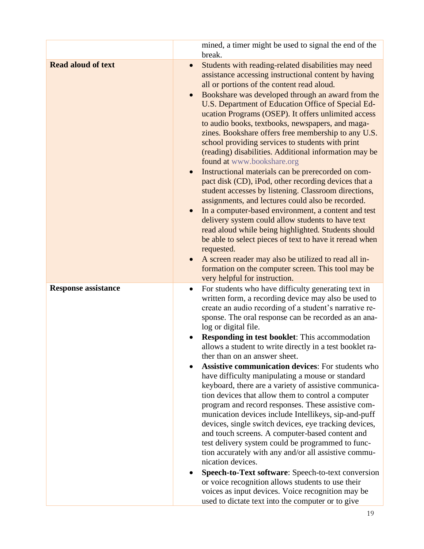|                            | mined, a timer might be used to signal the end of the<br>break.                                                                                                                                                                                                                                                                                                                                                                                                                                                                                                                                                                                                                                                                                                                                                                                                                                                                                                                                                                                                                                                                                                                                                                   |
|----------------------------|-----------------------------------------------------------------------------------------------------------------------------------------------------------------------------------------------------------------------------------------------------------------------------------------------------------------------------------------------------------------------------------------------------------------------------------------------------------------------------------------------------------------------------------------------------------------------------------------------------------------------------------------------------------------------------------------------------------------------------------------------------------------------------------------------------------------------------------------------------------------------------------------------------------------------------------------------------------------------------------------------------------------------------------------------------------------------------------------------------------------------------------------------------------------------------------------------------------------------------------|
| <b>Read aloud of text</b>  | Students with reading-related disabilities may need<br>$\bullet$<br>assistance accessing instructional content by having<br>all or portions of the content read aloud.<br>Bookshare was developed through an award from the<br>$\bullet$<br>U.S. Department of Education Office of Special Ed-<br>ucation Programs (OSEP). It offers unlimited access<br>to audio books, textbooks, newspapers, and maga-<br>zines. Bookshare offers free membership to any U.S.<br>school providing services to students with print<br>(reading) disabilities. Additional information may be<br>found at www.bookshare.org<br>Instructional materials can be prerecorded on com-<br>pact disk (CD), iPod, other recording devices that a<br>student accesses by listening. Classroom directions,<br>assignments, and lectures could also be recorded.<br>In a computer-based environment, a content and test<br>delivery system could allow students to have text<br>read aloud while being highlighted. Students should<br>be able to select pieces of text to have it reread when<br>requested.<br>A screen reader may also be utilized to read all in-<br>formation on the computer screen. This tool may be<br>very helpful for instruction. |
| <b>Response assistance</b> | For students who have difficulty generating text in<br>$\bullet$<br>written form, a recording device may also be used to<br>create an audio recording of a student's narrative re-<br>sponse. The oral response can be recorded as an ana-<br>log or digital file.<br>Responding in test booklet: This accommodation<br>allows a student to write directly in a test booklet ra-<br>ther than on an answer sheet.<br><b>Assistive communication devices:</b> For students who<br>have difficulty manipulating a mouse or standard<br>keyboard, there are a variety of assistive communica-<br>tion devices that allow them to control a computer<br>program and record responses. These assistive com-<br>munication devices include Intellikeys, sip-and-puff<br>devices, single switch devices, eye tracking devices,<br>and touch screens. A computer-based content and<br>test delivery system could be programmed to func-<br>tion accurately with any and/or all assistive commu-<br>nication devices.<br>Speech-to-Text software: Speech-to-text conversion<br>or voice recognition allows students to use their<br>voices as input devices. Voice recognition may be<br>used to dictate text into the computer or to give |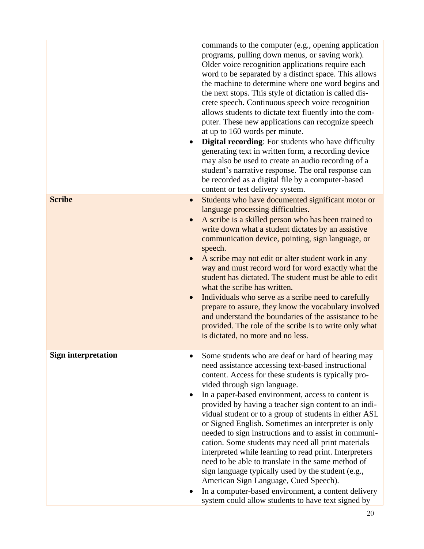|                            | commands to the computer (e.g., opening application<br>programs, pulling down menus, or saving work).<br>Older voice recognition applications require each<br>word to be separated by a distinct space. This allows<br>the machine to determine where one word begins and<br>the next stops. This style of dictation is called dis-<br>crete speech. Continuous speech voice recognition<br>allows students to dictate text fluently into the com-<br>puter. These new applications can recognize speech<br>at up to 160 words per minute.<br><b>Digital recording:</b> For students who have difficulty<br>$\bullet$<br>generating text in written form, a recording device<br>may also be used to create an audio recording of a<br>student's narrative response. The oral response can<br>be recorded as a digital file by a computer-based<br>content or test delivery system. |
|----------------------------|------------------------------------------------------------------------------------------------------------------------------------------------------------------------------------------------------------------------------------------------------------------------------------------------------------------------------------------------------------------------------------------------------------------------------------------------------------------------------------------------------------------------------------------------------------------------------------------------------------------------------------------------------------------------------------------------------------------------------------------------------------------------------------------------------------------------------------------------------------------------------------|
| <b>Scribe</b>              | Students who have documented significant motor or<br>$\bullet$<br>language processing difficulties.<br>A scribe is a skilled person who has been trained to<br>$\bullet$<br>write down what a student dictates by an assistive<br>communication device, pointing, sign language, or<br>speech.<br>A scribe may not edit or alter student work in any<br>way and must record word for word exactly what the<br>student has dictated. The student must be able to edit<br>what the scribe has written.<br>Individuals who serve as a scribe need to carefully<br>prepare to assure, they know the vocabulary involved<br>and understand the boundaries of the assistance to be<br>provided. The role of the scribe is to write only what<br>is dictated, no more and no less.                                                                                                        |
| <b>Sign interpretation</b> | Some students who are deaf or hard of hearing may<br>need assistance accessing text-based instructional<br>content. Access for these students is typically pro-<br>vided through sign language.<br>In a paper-based environment, access to content is<br>provided by having a teacher sign content to an indi-<br>vidual student or to a group of students in either ASL<br>or Signed English. Sometimes an interpreter is only<br>needed to sign instructions and to assist in communi-<br>cation. Some students may need all print materials<br>interpreted while learning to read print. Interpreters<br>need to be able to translate in the same method of<br>sign language typically used by the student (e.g.,<br>American Sign Language, Cued Speech).<br>In a computer-based environment, a content delivery<br>system could allow students to have text signed by         |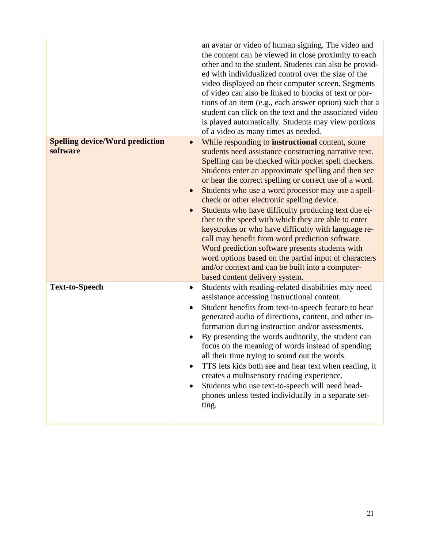|                                                    | an avatar or video of human signing. The video and<br>the content can be viewed in close proximity to each<br>other and to the student. Students can also be provid-<br>ed with individualized control over the size of the<br>video displayed on their computer screen. Segments<br>of video can also be linked to blocks of text or por-<br>tions of an item (e.g., each answer option) such that a<br>student can click on the text and the associated video<br>is played automatically. Students may view portions<br>of a video as many times as needed.                                                                                                                                                                                                                                                                      |
|----------------------------------------------------|------------------------------------------------------------------------------------------------------------------------------------------------------------------------------------------------------------------------------------------------------------------------------------------------------------------------------------------------------------------------------------------------------------------------------------------------------------------------------------------------------------------------------------------------------------------------------------------------------------------------------------------------------------------------------------------------------------------------------------------------------------------------------------------------------------------------------------|
| <b>Spelling device/Word prediction</b><br>software | While responding to <b>instructional</b> content, some<br>$\bullet$<br>students need assistance constructing narrative text.<br>Spelling can be checked with pocket spell checkers.<br>Students enter an approximate spelling and then see<br>or hear the correct spelling or correct use of a word.<br>Students who use a word processor may use a spell-<br>check or other electronic spelling device.<br>Students who have difficulty producing text due ei-<br>ther to the speed with which they are able to enter<br>keystrokes or who have difficulty with language re-<br>call may benefit from word prediction software.<br>Word prediction software presents students with<br>word options based on the partial input of characters<br>and/or context and can be built into a computer-<br>based content delivery system. |
| <b>Text-to-Speech</b>                              | Students with reading-related disabilities may need<br>$\bullet$<br>assistance accessing instructional content.<br>Student benefits from text-to-speech feature to hear<br>٠<br>generated audio of directions, content, and other in-<br>formation during instruction and/or assessments.<br>By presenting the words auditorily, the student can<br>focus on the meaning of words instead of spending<br>all their time trying to sound out the words.<br>TTS lets kids both see and hear text when reading, it<br>creates a multisensory reading experience.<br>Students who use text-to-speech will need head-<br>phones unless tested individually in a separate set-<br>ting.                                                                                                                                                  |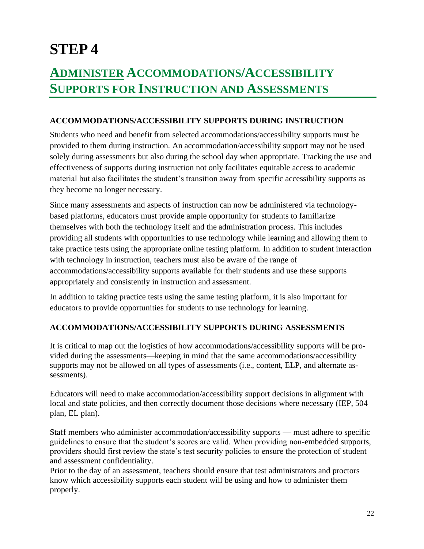# **STEP 4**

# **ADMINISTER ACCOMMODATIONS/ACCESSIBILITY SUPPORTS FOR INSTRUCTION AND ASSESSMENTS**

#### **ACCOMMODATIONS/ACCESSIBILITY SUPPORTS DURING INSTRUCTION**

Students who need and benefit from selected accommodations/accessibility supports must be provided to them during instruction. An accommodation/accessibility support may not be used solely during assessments but also during the school day when appropriate. Tracking the use and effectiveness of supports during instruction not only facilitates equitable access to academic material but also facilitates the student's transition away from specific accessibility supports as they become no longer necessary.

Since many assessments and aspects of instruction can now be administered via technologybased platforms, educators must provide ample opportunity for students to familiarize themselves with both the technology itself and the administration process. This includes providing all students with opportunities to use technology while learning and allowing them to take practice tests using the appropriate online testing platform. In addition to student interaction with technology in instruction, teachers must also be aware of the range of accommodations/accessibility supports available for their students and use these supports appropriately and consistently in instruction and assessment.

In addition to taking practice tests using the same testing platform, it is also important for educators to provide opportunities for students to use technology for learning.

#### **ACCOMMODATIONS/ACCESSIBILITY SUPPORTS DURING ASSESSMENTS**

It is critical to map out the logistics of how accommodations/accessibility supports will be provided during the assessments—keeping in mind that the same accommodations/accessibility supports may not be allowed on all types of assessments (i.e., content, ELP, and alternate assessments).

Educators will need to make accommodation/accessibility support decisions in alignment with local and state policies, and then correctly document those decisions where necessary (IEP, 504 plan, EL plan).

Staff members who administer accommodation/accessibility supports — must adhere to specific guidelines to ensure that the student's scores are valid. When providing non-embedded supports, providers should first review the state's test security policies to ensure the protection of student and assessment confidentiality.

Prior to the day of an assessment, teachers should ensure that test administrators and proctors know which accessibility supports each student will be using and how to administer them properly.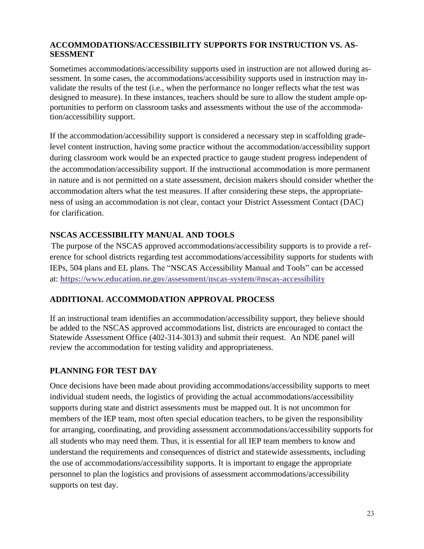#### **ACCOMMODATIONS/ACCESSIBILITY SUPPORTS FOR INSTRUCTION VS. AS-SESSMENT**

Sometimes accommodations/accessibility supports used in instruction are not allowed during assessment. In some cases, the accommodations/accessibility supports used in instruction may invalidate the results of the test (i.e., when the performance no longer reflects what the test was designed to measure). In these instances, teachers should be sure to allow the student ample opportunities to perform on classroom tasks and assessments without the use of the accommodation/accessibility support.

If the accommodation/accessibility support is considered a necessary step in scaffolding gradelevel content instruction, having some practice without the accommodation/accessibility support during classroom work would be an expected practice to gauge student progress independent of the accommodation/accessibility support. If the instructional accommodation is more permanent in nature and is not permitted on a state assessment, decision makers should consider whether the accommodation alters what the test measures. If after considering these steps, the appropriateness of using an accommodation is not clear, contact your District Assessment Contact (DAC) for clarification.

#### **NSCAS ACCESSIBILITY MANUAL AND TOOLS**

The purpose of the NSCAS approved accommodations/accessibility supports is to provide a reference for school districts regarding test accommodations/accessibility supports for students with IEPs, 504 plans and EL plans. The "NSCAS Accessibility Manual and Tools" can be accessed at: **<https://www.education.ne.gov/assessment/nscas-system/#nscas-accessibility>**

#### **ADDITIONAL ACCOMMODATION APPROVAL PROCESS**

If an instructional team identifies an accommodation/accessibility support, they believe should be added to the NSCAS approved accommodations list, districts are encouraged to contact the Statewide Assessment Office (402-314-3013) and submit their request. An NDE panel will review the accommodation for testing validity and appropriateness.

#### **PLANNING FOR TEST DAY**

Once decisions have been made about providing accommodations/accessibility supports to meet individual student needs, the logistics of providing the actual accommodations/accessibility supports during state and district assessments must be mapped out. It is not uncommon for members of the IEP team, most often special education teachers, to be given the responsibility for arranging, coordinating, and providing assessment accommodations/accessibility supports for all students who may need them. Thus, it is essential for all IEP team members to know and understand the requirements and consequences of district and statewide assessments, including the use of accommodations/accessibility supports. It is important to engage the appropriate personnel to plan the logistics and provisions of assessment accommodations/accessibility supports on test day.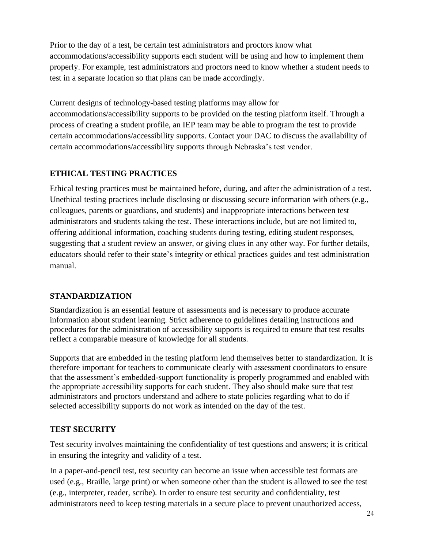Prior to the day of a test, be certain test administrators and proctors know what accommodations/accessibility supports each student will be using and how to implement them properly. For example, test administrators and proctors need to know whether a student needs to test in a separate location so that plans can be made accordingly.

Current designs of technology-based testing platforms may allow for

accommodations/accessibility supports to be provided on the testing platform itself. Through a process of creating a student profile, an IEP team may be able to program the test to provide certain accommodations/accessibility supports. Contact your DAC to discuss the availability of certain accommodations/accessibility supports through Nebraska's test vendor.

## **ETHICAL TESTING PRACTICES**

Ethical testing practices must be maintained before, during, and after the administration of a test. Unethical testing practices include disclosing or discussing secure information with others (e.g., colleagues, parents or guardians, and students) and inappropriate interactions between test administrators and students taking the test. These interactions include, but are not limited to, offering additional information, coaching students during testing, editing student responses, suggesting that a student review an answer, or giving clues in any other way. For further details, educators should refer to their state's integrity or ethical practices guides and test administration manual.

#### **STANDARDIZATION**

Standardization is an essential feature of assessments and is necessary to produce accurate information about student learning. Strict adherence to guidelines detailing instructions and procedures for the administration of accessibility supports is required to ensure that test results reflect a comparable measure of knowledge for all students.

Supports that are embedded in the testing platform lend themselves better to standardization. It is therefore important for teachers to communicate clearly with assessment coordinators to ensure that the assessment's embedded-support functionality is properly programmed and enabled with the appropriate accessibility supports for each student. They also should make sure that test administrators and proctors understand and adhere to state policies regarding what to do if selected accessibility supports do not work as intended on the day of the test.

## **TEST SECURITY**

Test security involves maintaining the confidentiality of test questions and answers; it is critical in ensuring the integrity and validity of a test.

In a paper-and-pencil test, test security can become an issue when accessible test formats are used (e.g., Braille, large print) or when someone other than the student is allowed to see the test (e.g., interpreter, reader, scribe). In order to ensure test security and confidentiality, test administrators need to keep testing materials in a secure place to prevent unauthorized access,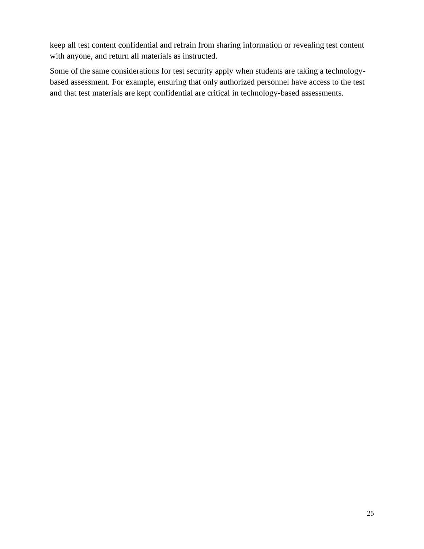keep all test content confidential and refrain from sharing information or revealing test content with anyone, and return all materials as instructed.

Some of the same considerations for test security apply when students are taking a technologybased assessment. For example, ensuring that only authorized personnel have access to the test and that test materials are kept confidential are critical in technology-based assessments.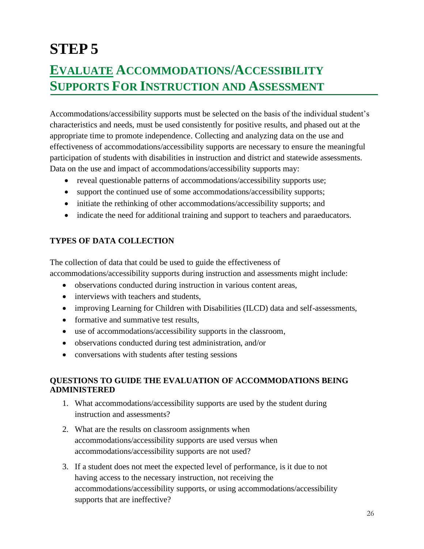# **STEP 5 EVALUATE ACCOMMODATIONS/ACCESSIBILITY SUPPORTS FOR INSTRUCTION AND ASSESSMENT**

Accommodations/accessibility supports must be selected on the basis of the individual student's characteristics and needs, must be used consistently for positive results, and phased out at the appropriate time to promote independence. Collecting and analyzing data on the use and effectiveness of accommodations/accessibility supports are necessary to ensure the meaningful participation of students with disabilities in instruction and district and statewide assessments. Data on the use and impact of accommodations/accessibility supports may:

- reveal questionable patterns of accommodations/accessibility supports use;
- support the continued use of some accommodations/accessibility supports;
- initiate the rethinking of other accommodations/accessibility supports; and
- indicate the need for additional training and support to teachers and paraeducators.

## **TYPES OF DATA COLLECTION**

The collection of data that could be used to guide the effectiveness of accommodations/accessibility supports during instruction and assessments might include:

- observations conducted during instruction in various content areas,
- interviews with teachers and students,
- improving Learning for Children with Disabilities (ILCD) data and self-assessments,
- formative and summative test results,
- use of accommodations/accessibility supports in the classroom,
- observations conducted during test administration, and/or
- conversations with students after testing sessions

#### **QUESTIONS TO GUIDE THE EVALUATION OF ACCOMMODATIONS BEING ADMINISTERED**

- 1. What accommodations/accessibility supports are used by the student during instruction and assessments?
- 2. What are the results on classroom assignments when accommodations/accessibility supports are used versus when accommodations/accessibility supports are not used?
- 3. If a student does not meet the expected level of performance, is it due to not having access to the necessary instruction, not receiving the accommodations/accessibility supports, or using accommodations/accessibility supports that are ineffective?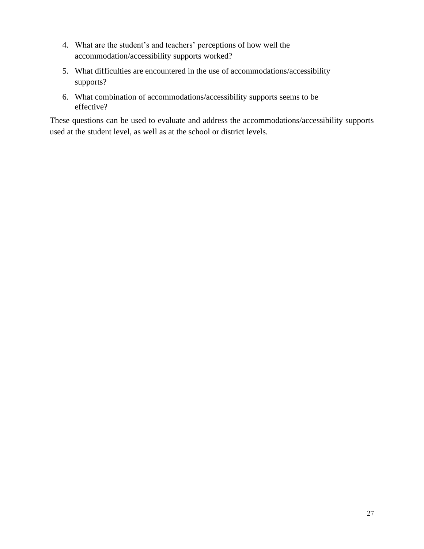- 4. What are the student's and teachers' perceptions of how well the accommodation/accessibility supports worked?
- 5. What difficulties are encountered in the use of accommodations/accessibility supports?
- 6. What combination of accommodations/accessibility supports seems to be effective?

These questions can be used to evaluate and address the accommodations/accessibility supports used at the student level, as well as at the school or district levels.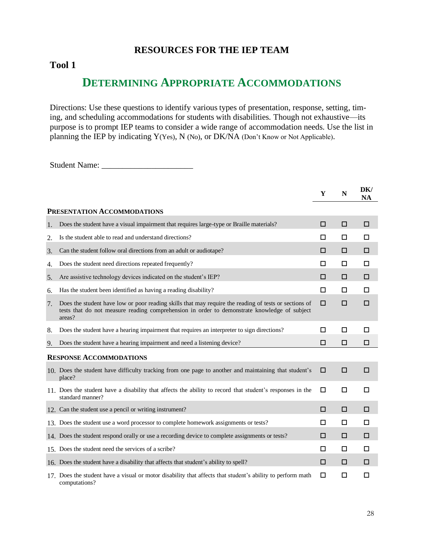## **RESOURCES FOR THE IEP TEAM**

#### **Tool 1**

# **DETERMINING APPROPRIATE ACCOMMODATIONS**

Directions: Use these questions to identify various types of presentation, response, setting, timing, and scheduling accommodations for students with disabilities. Though not exhaustive—its purpose is to prompt IEP teams to consider a wide range of accommodation needs. Use the list in planning the IEP by indicating Y(Yes), N (No), or DK/NA (Don't Know or Not Applicable).

Student Name: \_\_\_\_\_\_\_\_\_\_\_\_\_\_\_\_\_\_\_\_\_\_

|    |                                                                                                                                                                                                                 | Y | N | DK/<br><b>NA</b> |
|----|-----------------------------------------------------------------------------------------------------------------------------------------------------------------------------------------------------------------|---|---|------------------|
|    | PRESENTATION ACCOMMODATIONS                                                                                                                                                                                     |   |   |                  |
| 1. | Does the student have a visual impairment that requires large-type or Braille materials?                                                                                                                        | п | □ | □                |
| 2. | Is the student able to read and understand directions?                                                                                                                                                          | □ | □ | □                |
| 3. | Can the student follow oral directions from an adult or audiotape?                                                                                                                                              | □ | □ | □                |
| 4. | Does the student need directions repeated frequently?                                                                                                                                                           | □ | □ | □                |
| 5. | Are assistive technology devices indicated on the student's IEP?                                                                                                                                                | □ | □ | □                |
| 6. | Has the student been identified as having a reading disability?                                                                                                                                                 | □ | □ | □                |
| 7. | Does the student have low or poor reading skills that may require the reading of tests or sections of<br>tests that do not measure reading comprehension in order to demonstrate knowledge of subject<br>areas? | □ | □ | □                |
| 8. | Does the student have a hearing impairment that requires an interpreter to sign directions?                                                                                                                     | □ | □ | П                |
| 9. | Does the student have a hearing impairment and need a listening device?                                                                                                                                         | □ | □ | □                |
|    | <b>RESPONSE ACCOMMODATIONS</b>                                                                                                                                                                                  |   |   |                  |
|    | 10. Does the student have difficulty tracking from one page to another and maintaining that student's<br>place?                                                                                                 | □ | □ | □                |
|    | 11. Does the student have a disability that affects the ability to record that student's responses in the<br>standard manner?                                                                                   | □ | □ | □                |
|    | 12. Can the student use a pencil or writing instrument?                                                                                                                                                         | □ | □ | □                |
|    | 13. Does the student use a word processor to complete homework assignments or tests?                                                                                                                            | □ | □ | П                |
|    | 14. Does the student respond orally or use a recording device to complete assignments or tests?                                                                                                                 | п | □ | □                |
|    | 15. Does the student need the services of a scribe?                                                                                                                                                             | □ | □ | □                |
|    | 16. Does the student have a disability that affects that student's ability to spell?                                                                                                                            | □ | □ | □                |
|    | 17. Does the student have a visual or motor disability that affects that student's ability to perform math<br>computations?                                                                                     | □ | □ | □                |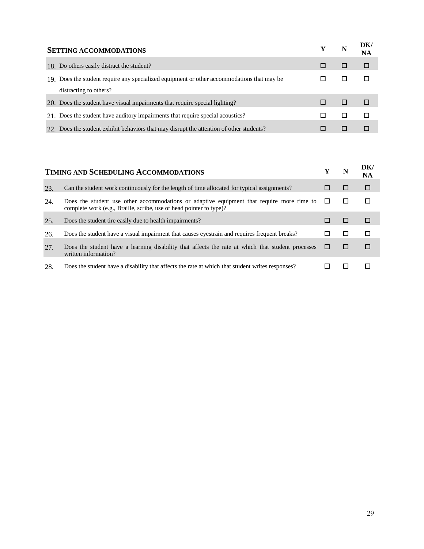| <b>SETTING ACCOMMODATIONS</b>                                                              |  | N | DK/<br>NA |
|--------------------------------------------------------------------------------------------|--|---|-----------|
| 18. Do others easily distract the student?                                                 |  |   |           |
| 19. Does the student require any specialized equipment or other accommodations that may be |  |   |           |
| distracting to others?                                                                     |  |   |           |
| 20. Does the student have visual impairments that require special lighting?                |  |   |           |
| 21. Does the student have auditory impairments that require special acoustics?             |  |   |           |
| 22. Does the student exhibit behaviors that may disrupt the attention of other students?   |  |   |           |

| <b>TIMING AND SCHEDULING ACCOMMODATIONS</b> |                                                                                                                                                                  |        |   | DK/<br>NA |
|---------------------------------------------|------------------------------------------------------------------------------------------------------------------------------------------------------------------|--------|---|-----------|
| 23.                                         | Can the student work continuously for the length of time allocated for typical assignments?                                                                      |        |   | □         |
| 24.                                         | Does the student use other accommodations or adaptive equipment that require more time to<br>complete work (e.g., Braille, scribe, use of head pointer to type)? | $\Box$ | ш |           |
| 25.                                         | Does the student tire easily due to health impairments?                                                                                                          |        |   |           |
| 26.                                         | Does the student have a visual impairment that causes eyestrain and requires frequent breaks?                                                                    |        |   |           |
| 27.                                         | Does the student have a learning disability that affects the rate at which that student processes<br>written information?                                        | ш      | ш | п         |
| 28.                                         | Does the student have a disability that affects the rate at which that student writes responses?                                                                 |        |   |           |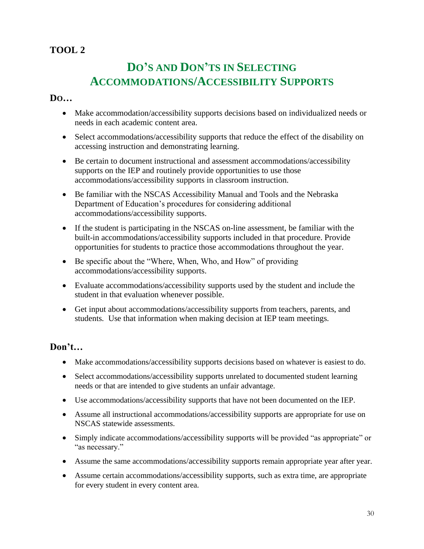# **TOOL 2**

# **DO'S AND DON'TS IN SELECTING ACCOMMODATIONS/ACCESSIBILITY SUPPORTS**

#### **DO…**

- Make accommodation/accessibility supports decisions based on individualized needs or needs in each academic content area.
- Select accommodations/accessibility supports that reduce the effect of the disability on accessing instruction and demonstrating learning.
- Be certain to document instructional and assessment accommodations/accessibility supports on the IEP and routinely provide opportunities to use those accommodations/accessibility supports in classroom instruction.
- Be familiar with the NSCAS Accessibility Manual and Tools and the Nebraska Department of Education's procedures for considering additional accommodations/accessibility supports.
- If the student is participating in the NSCAS on-line assessment, be familiar with the built-in accommodations/accessibility supports included in that procedure. Provide opportunities for students to practice those accommodations throughout the year.
- Be specific about the "Where, When, Who, and How" of providing accommodations/accessibility supports.
- Evaluate accommodations/accessibility supports used by the student and include the student in that evaluation whenever possible.
- Get input about accommodations/accessibility supports from teachers, parents, and students. Use that information when making decision at IEP team meetings.

#### **Don't…**

- Make accommodations/accessibility supports decisions based on whatever is easiest to do.
- Select accommodations/accessibility supports unrelated to documented student learning needs or that are intended to give students an unfair advantage.
- Use accommodations/accessibility supports that have not been documented on the IEP.
- Assume all instructional accommodations/accessibility supports are appropriate for use on NSCAS statewide assessments.
- Simply indicate accommodations/accessibility supports will be provided "as appropriate" or "as necessary."
- Assume the same accommodations/accessibility supports remain appropriate year after year.
- Assume certain accommodations/accessibility supports, such as extra time, are appropriate for every student in every content area.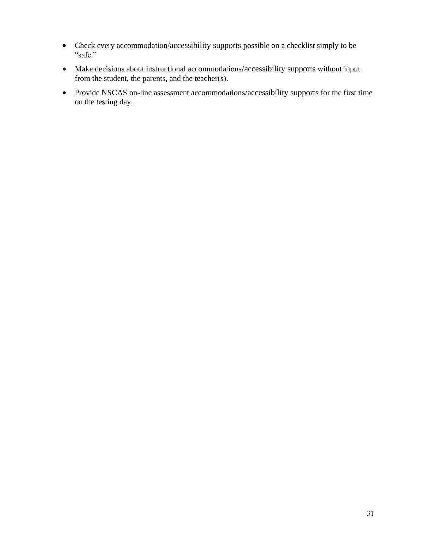- Check every accommodation/accessibility supports possible on a checklist simply to be "safe."
- Make decisions about instructional accommodations/accessibility supports without input from the student, the parents, and the teacher(s).
- Provide NSCAS on-line assessment accommodations/accessibility supports for the first time on the testing day.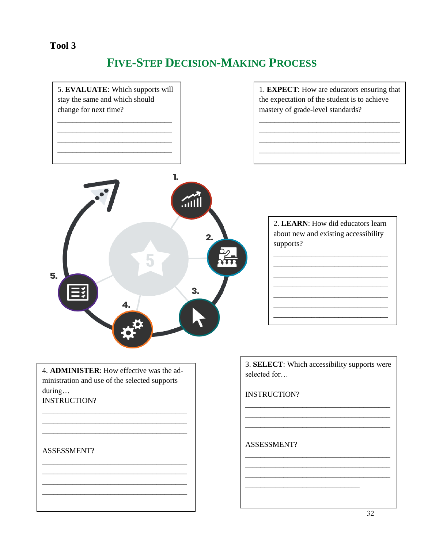## Tool 3

# **FIVE-STEP DECISION-MAKING PROCESS**



during...

**INSTRUCTION?** 

#### ASSESSMENT?

ASSESSMENT?

**INSTRUCTION?**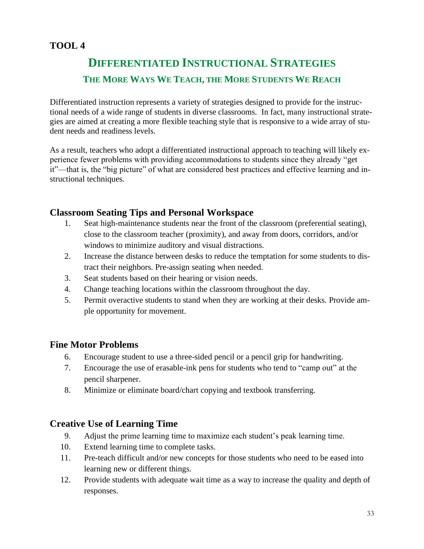# **TOOL 4**

# **DIFFERENTIATED INSTRUCTIONAL STRATEGIES THE MORE WAYS WE TEACH, THE MORE STUDENTS WE REACH**

Differentiated instruction represents a variety of strategies designed to provide for the instructional needs of a wide range of students in diverse classrooms. In fact, many instructional strategies are aimed at creating a more flexible teaching style that is responsive to a wide array of student needs and readiness levels.

As a result, teachers who adopt a differentiated instructional approach to teaching will likely experience fewer problems with providing accommodations to students since they already "get it"—that is, the "big picture" of what are considered best practices and effective learning and instructional techniques.

## **Classroom Seating Tips and Personal Workspace**

- 1. Seat high-maintenance students near the front of the classroom (preferential seating), close to the classroom teacher (proximity), and away from doors, corridors, and/or windows to minimize auditory and visual distractions.
- 2. Increase the distance between desks to reduce the temptation for some students to distract their neighbors. Pre-assign seating when needed.
- 3. Seat students based on their hearing or vision needs.
- 4. Change teaching locations within the classroom throughout the day.
- 5. Permit overactive students to stand when they are working at their desks. Provide ample opportunity for movement.

## **Fine Motor Problems**

- 6. Encourage student to use a three-sided pencil or a pencil grip for handwriting.
- 7. Encourage the use of erasable-ink pens for students who tend to "camp out" at the pencil sharpener.
- 8. Minimize or eliminate board/chart copying and textbook transferring.

#### **Creative Use of Learning Time**

- 9. Adjust the prime learning time to maximize each student's peak learning time.
- 10. Extend learning time to complete tasks.
- 11. Pre-teach difficult and/or new concepts for those students who need to be eased into learning new or different things.
- 12. Provide students with adequate wait time as a way to increase the quality and depth of responses.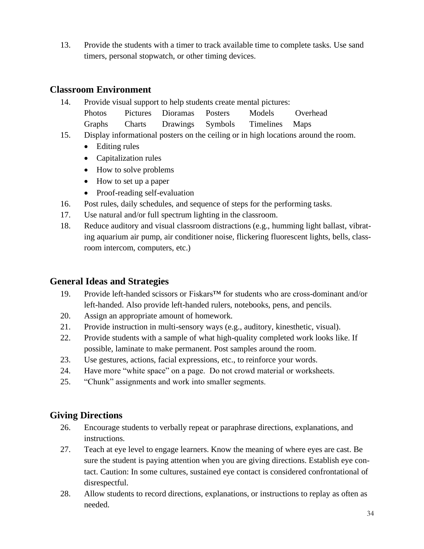13. Provide the students with a timer to track available time to complete tasks. Use sand timers, personal stopwatch, or other timing devices.

## **Classroom Environment**

- 14. Provide visual support to help students create mental pictures: Photos Pictures Dioramas Posters Models Overhead Graphs Charts Drawings Symbols Timelines Maps
- 15. Display informational posters on the ceiling or in high locations around the room.
	- Editing rules
	- Capitalization rules
	- How to solve problems
	- How to set up a paper
	- Proof-reading self-evaluation
- 16. Post rules, daily schedules, and sequence of steps for the performing tasks.
- 17. Use natural and/or full spectrum lighting in the classroom.
- 18. Reduce auditory and visual classroom distractions (e.g., humming light ballast, vibrating aquarium air pump, air conditioner noise, flickering fluorescent lights, bells, classroom intercom, computers, etc.)

# **General Ideas and Strategies**

- 19. Provide left-handed scissors or Fiskars™ for students who are cross-dominant and/or left-handed. Also provide left-handed rulers, notebooks, pens, and pencils.
- 20. Assign an appropriate amount of homework.
- 21. Provide instruction in multi-sensory ways (e.g., auditory, kinesthetic, visual).
- 22. Provide students with a sample of what high-quality completed work looks like. If possible, laminate to make permanent. Post samples around the room.
- 23. Use gestures, actions, facial expressions, etc., to reinforce your words.
- 24. Have more "white space" on a page. Do not crowd material or worksheets.
- 25. "Chunk" assignments and work into smaller segments.

# **Giving Directions**

- 26. Encourage students to verbally repeat or paraphrase directions, explanations, and instructions.
- 27. Teach at eye level to engage learners. Know the meaning of where eyes are cast. Be sure the student is paying attention when you are giving directions. Establish eye contact. Caution: In some cultures, sustained eye contact is considered confrontational of disrespectful.
- 28. Allow students to record directions, explanations, or instructions to replay as often as needed.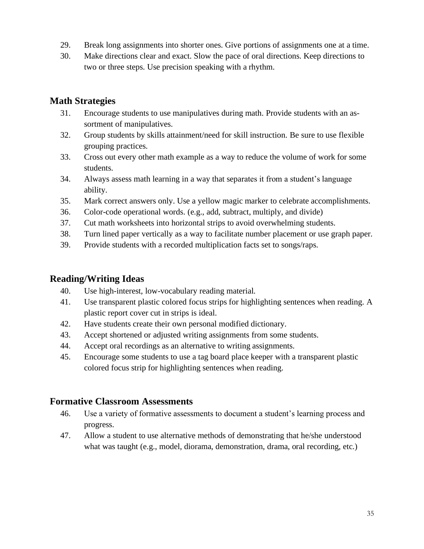- 29. Break long assignments into shorter ones. Give portions of assignments one at a time.
- 30. Make directions clear and exact. Slow the pace of oral directions. Keep directions to two or three steps. Use precision speaking with a rhythm.

## **Math Strategies**

- 31. Encourage students to use manipulatives during math. Provide students with an assortment of manipulatives.
- 32. Group students by skills attainment/need for skill instruction. Be sure to use flexible grouping practices.
- 33. Cross out every other math example as a way to reduce the volume of work for some students.
- 34. Always assess math learning in a way that separates it from a student's language ability.
- 35. Mark correct answers only. Use a yellow magic marker to celebrate accomplishments.
- 36. Color-code operational words. (e.g., add, subtract, multiply, and divide)
- 37. Cut math worksheets into horizontal strips to avoid overwhelming students.
- 38. Turn lined paper vertically as a way to facilitate number placement or use graph paper.
- 39. Provide students with a recorded multiplication facts set to songs/raps.

## **Reading/Writing Ideas**

- 40. Use high-interest, low-vocabulary reading material.
- 41. Use transparent plastic colored focus strips for highlighting sentences when reading. A plastic report cover cut in strips is ideal.
- 42. Have students create their own personal modified dictionary.
- 43. Accept shortened or adjusted writing assignments from some students.
- 44. Accept oral recordings as an alternative to writing assignments.
- 45. Encourage some students to use a tag board place keeper with a transparent plastic colored focus strip for highlighting sentences when reading.

## **Formative Classroom Assessments**

- 46. Use a variety of formative assessments to document a student's learning process and progress.
- 47. Allow a student to use alternative methods of demonstrating that he/she understood what was taught (e.g., model, diorama, demonstration, drama, oral recording, etc.)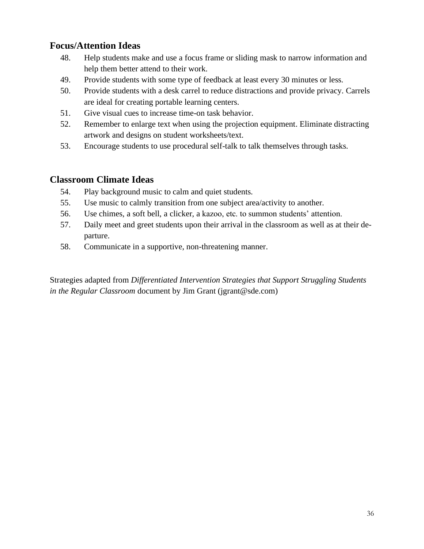## **Focus/Attention Ideas**

- 48. Help students make and use a focus frame or sliding mask to narrow information and help them better attend to their work.
- 49. Provide students with some type of feedback at least every 30 minutes or less.
- 50. Provide students with a desk carrel to reduce distractions and provide privacy. Carrels are ideal for creating portable learning centers.
- 51. Give visual cues to increase time-on task behavior.
- 52. Remember to enlarge text when using the projection equipment. Eliminate distracting artwork and designs on student worksheets/text.
- 53. Encourage students to use procedural self-talk to talk themselves through tasks.

## **Classroom Climate Ideas**

- 54. Play background music to calm and quiet students.
- 55. Use music to calmly transition from one subject area/activity to another.
- 56. Use chimes, a soft bell, a clicker, a kazoo, etc. to summon students' attention.
- 57. Daily meet and greet students upon their arrival in the classroom as well as at their departure.
- 58. Communicate in a supportive, non-threatening manner.

Strategies adapted from *Differentiated Intervention Strategies that Support Struggling Students in the Regular Classroom* document by Jim Grant (jgrant@sde.com)